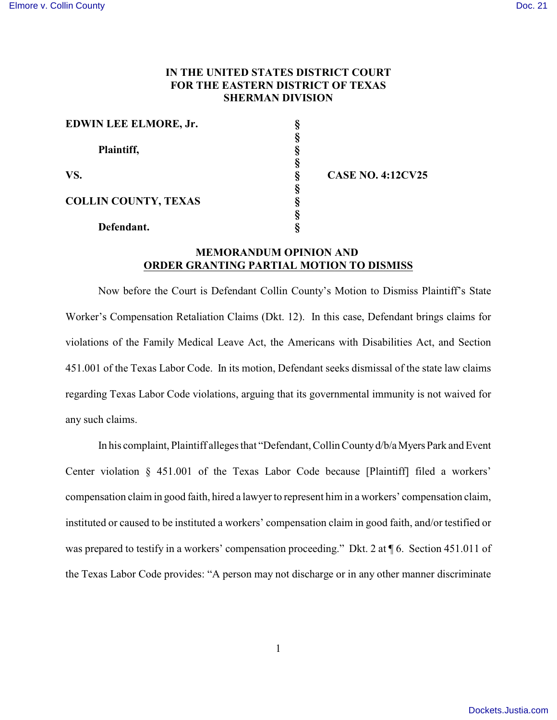## **IN THE UNITED STATES DISTRICT COURT FOR THE EASTERN DISTRICT OF TEXAS SHERMAN DIVISION**

| <b>EDWIN LEE ELMORE, Jr.</b> |             |
|------------------------------|-------------|
|                              |             |
| Plaintiff,                   |             |
|                              |             |
| VS.                          | <b>CASE</b> |
| <b>COLLIN COUNTY, TEXAS</b>  |             |
|                              |             |
|                              |             |
| Defendant.                   |             |

**NO. 4:12CV25** 

## **MEMORANDUM OPINION AND ORDER GRANTING PARTIAL MOTION TO DISMISS**

Now before the Court is Defendant Collin County's Motion to Dismiss Plaintiff's State Worker's Compensation Retaliation Claims (Dkt. 12). In this case, Defendant brings claims for violations of the Family Medical Leave Act, the Americans with Disabilities Act, and Section 451.001 of the Texas Labor Code. In its motion, Defendant seeks dismissal of the state law claims regarding Texas Labor Code violations, arguing that its governmental immunity is not waived for any such claims.

In his complaint, Plaintiff alleges that "Defendant, Collin County d/b/a Myers Park and Event Center violation § 451.001 of the Texas Labor Code because [Plaintiff] filed a workers' compensation claim in good faith, hired a lawyer to represent him in a workers' compensation claim, instituted or caused to be instituted a workers' compensation claim in good faith, and/or testified or was prepared to testify in a workers' compensation proceeding." Dkt. 2 at  $\P$  6. Section 451.011 of the Texas Labor Code provides: "A person may not discharge or in any other manner discriminate